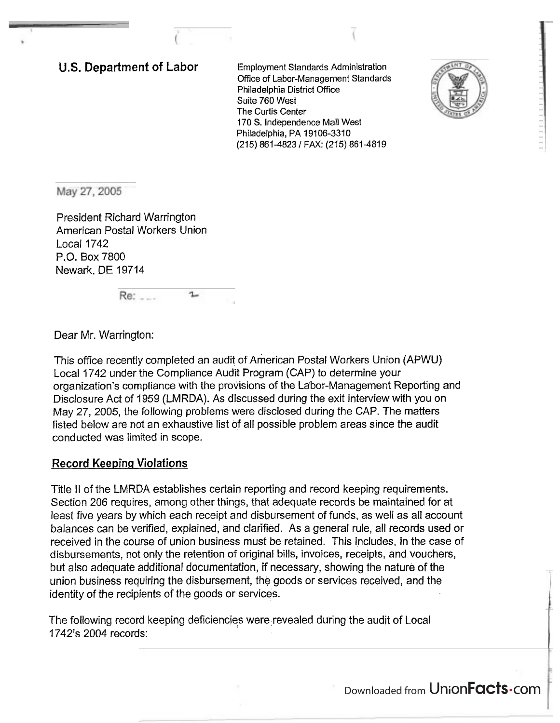**U.S. Department of Labor** Employment Standards Administration Office of Labor-Management Standards Philadelphia District Office Suite 760 West The Curtis Center 170 S. Independence Mall West Philadelphia, PA 19106-3310 (215) 861-4823 1 FAX: (215) 861-4819



May 27, 2005

President Richard Warrington American Postal Workers Union Local 1742 P.O. Box 7800 Newark, DE 19714

> Re: ....  $\mathbf{L}$

Dear Mr. Warrington:

This office recently completed an audit of American Postal Workers Union (APWU) Local 1742 under the Compliance Audit Program (CAP) to determine your organization's compliance with the provisions of the Labor-Management Reporting and Disclosure Act of I959 (LMRDA). As discussed during the exit interview with you on May 27, 2005, the following problems were disclosed during the CAP. The matters listed below are not an exhaustive list of all possible problem areas since the audit conducted was limited in scope.

# **Record Keeping Violations**

Title II of the LMRDA establishes certain reporting and record keeping requirements. Section 206 requires, among other things, that adequate records be maintained for at least five years by which each receipt and disbursement of funds, as well as all account balances can be verified, explained, and clarified. As a general rule, all records used or received in the course of union business must be retained. This includes, in the case of disbursements, not only the retention of original bills, invoices, receipts, and vouchers, but also adequate additional documentation, if necessary, showing the nature of the union business requiring the disbursement, the goods or services received, and the identity of the recipients of the goods or services.

The following record keeping deficiencies were,revealed during the audit of Local 1742's 2004 records:

Downloaded from UnionFacts.com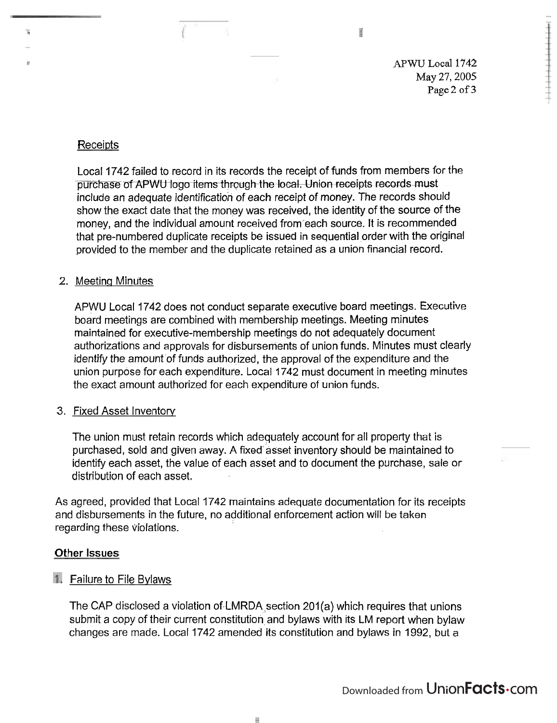*APWU* Local **1742**  May 27,2005 Page 2 of 3

H

# Receipts

ī.

Local 1742 failed to record in its records the receipt of funds from members for the purchase of APWU logo items through the local. Union receipts records must include an adequate identification of each receipt of money. The records should show the exact date that the money was received, the identity of the source of the money, and the individual amount received from each source. It is recommended that pre-numbered duplicate receipts be issued in sequential order with the original provided to the member and the duplicate retained as a union financial record.

### 2. Meeting Minutes

APWU Local 1742 does not conduct separate executive board meetings. Executive board meetings are combined with membership meetings. Meeting minutes maintained for executive-membership meetings do not adequately document authorizations and approvals for disbursements of union funds. Minutes must clearly identify the amount of funds authorized, the approval of the expenditure and the union purpose for each expenditure. Local 1742 must document in meeting minutes the exact amount authorized for each expenditure of union funds.

### 3. Fixed Asset Inventory

The union must retain records which adequately account for all property that is purchased, sold and given away. A fixed asset inventory should be maintained to identify each asset, the value of each asset and to document the purchase, sale or distribution of each asset.

As agreed, provided that Local 1742 maintains adequate documentation for its receipts and disbursements in the future, no additional enforcement action will be taken regarding these violations.

### Other **Issues**

# **1.** Failure to File Bylaws

The CAP disclosed a violation of LMRDA section 201(a) which requires that unions submit a copy of their current constitution and bylaws with its LM report when bylaw changes are made. Local 1742 amended its constitution and bylaws in 1992, but a

ш